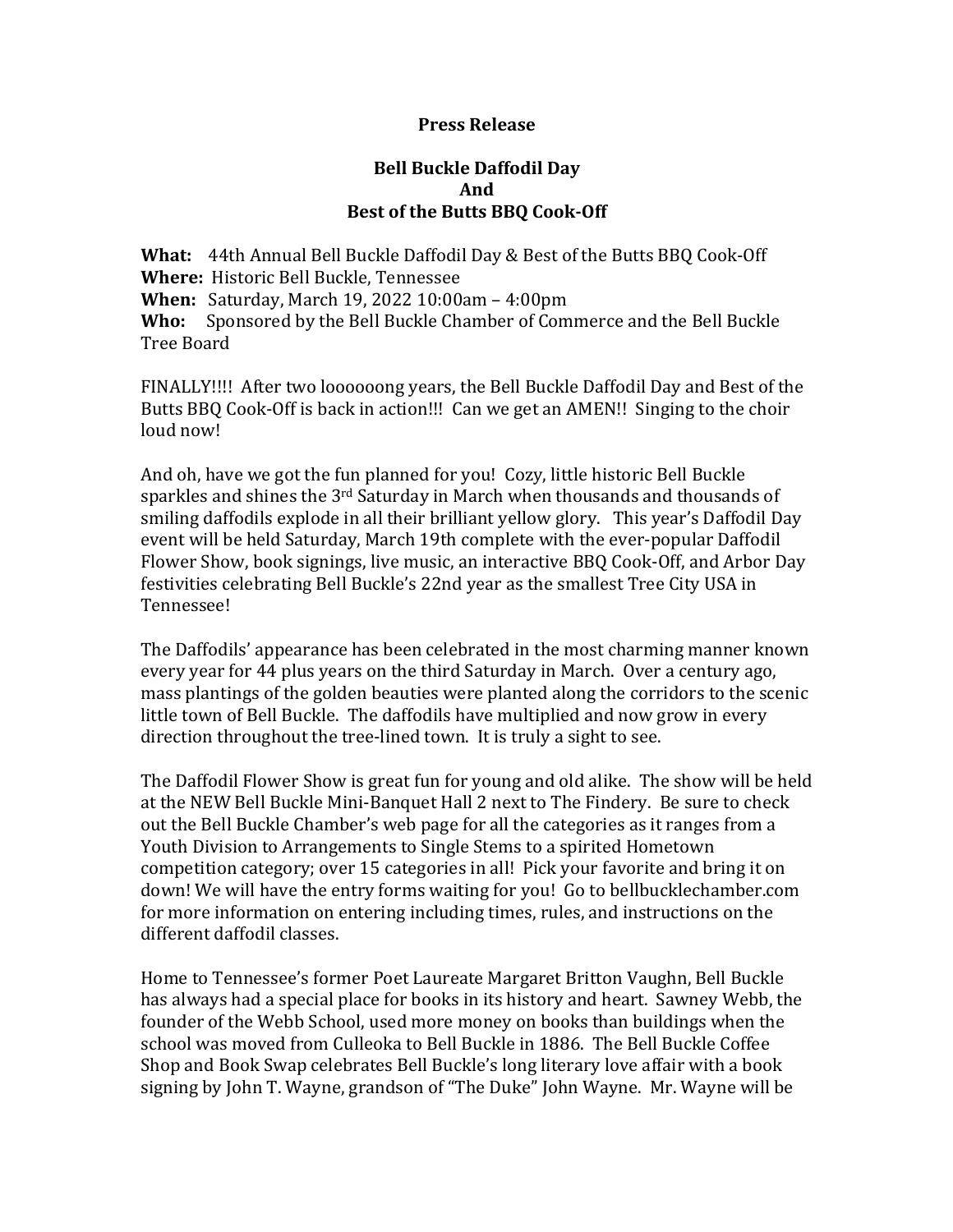## **Press Release**

# **Bell Buckle Daffodil Day And Best of the Butts BBQ Cook-Off**

**What:** 44th Annual Bell Buckle Daffodil Day & Best of the Butts BBQ Cook-Off **Where:** Historic Bell Buckle, Tennessee **When:** Saturday, March 19, 2022 10:00am - 4:00pm Who: Sponsored by the Bell Buckle Chamber of Commerce and the Bell Buckle Tree Board

FINALLY!!!! After two loooooong years, the Bell Buckle Daffodil Day and Best of the Butts BBQ Cook-Off is back in action!!! Can we get an AMEN!! Singing to the choir loud now!

And oh, have we got the fun planned for you! Cozy, little historic Bell Buckle sparkles and shines the  $3<sup>rd</sup>$  Saturday in March when thousands and thousands of smiling daffodils explode in all their brilliant yellow glory. This year's Daffodil Day event will be held Saturday, March 19th complete with the ever-popular Daffodil Flower Show, book signings, live music, an interactive BBQ Cook-Off, and Arbor Day festivities celebrating Bell Buckle's 22nd year as the smallest Tree City USA in Tennessee!

The Daffodils' appearance has been celebrated in the most charming manner known every year for 44 plus years on the third Saturday in March. Over a century ago, mass plantings of the golden beauties were planted along the corridors to the scenic little town of Bell Buckle. The daffodils have multiplied and now grow in every direction throughout the tree-lined town. It is truly a sight to see.

The Daffodil Flower Show is great fun for young and old alike. The show will be held at the NEW Bell Buckle Mini-Banquet Hall 2 next to The Findery. Be sure to check out the Bell Buckle Chamber's web page for all the categories as it ranges from a Youth Division to Arrangements to Single Stems to a spirited Hometown competition category; over 15 categories in all! Pick your favorite and bring it on down! We will have the entry forms waiting for you! Go to bellbucklechamber.com for more information on entering including times, rules, and instructions on the different daffodil classes.

Home to Tennessee's former Poet Laureate Margaret Britton Vaughn, Bell Buckle has always had a special place for books in its history and heart. Sawney Webb, the founder of the Webb School, used more money on books than buildings when the school was moved from Culleoka to Bell Buckle in 1886. The Bell Buckle Coffee Shop and Book Swap celebrates Bell Buckle's long literary love affair with a book signing by John T. Wayne, grandson of "The Duke" John Wayne. Mr. Wayne will be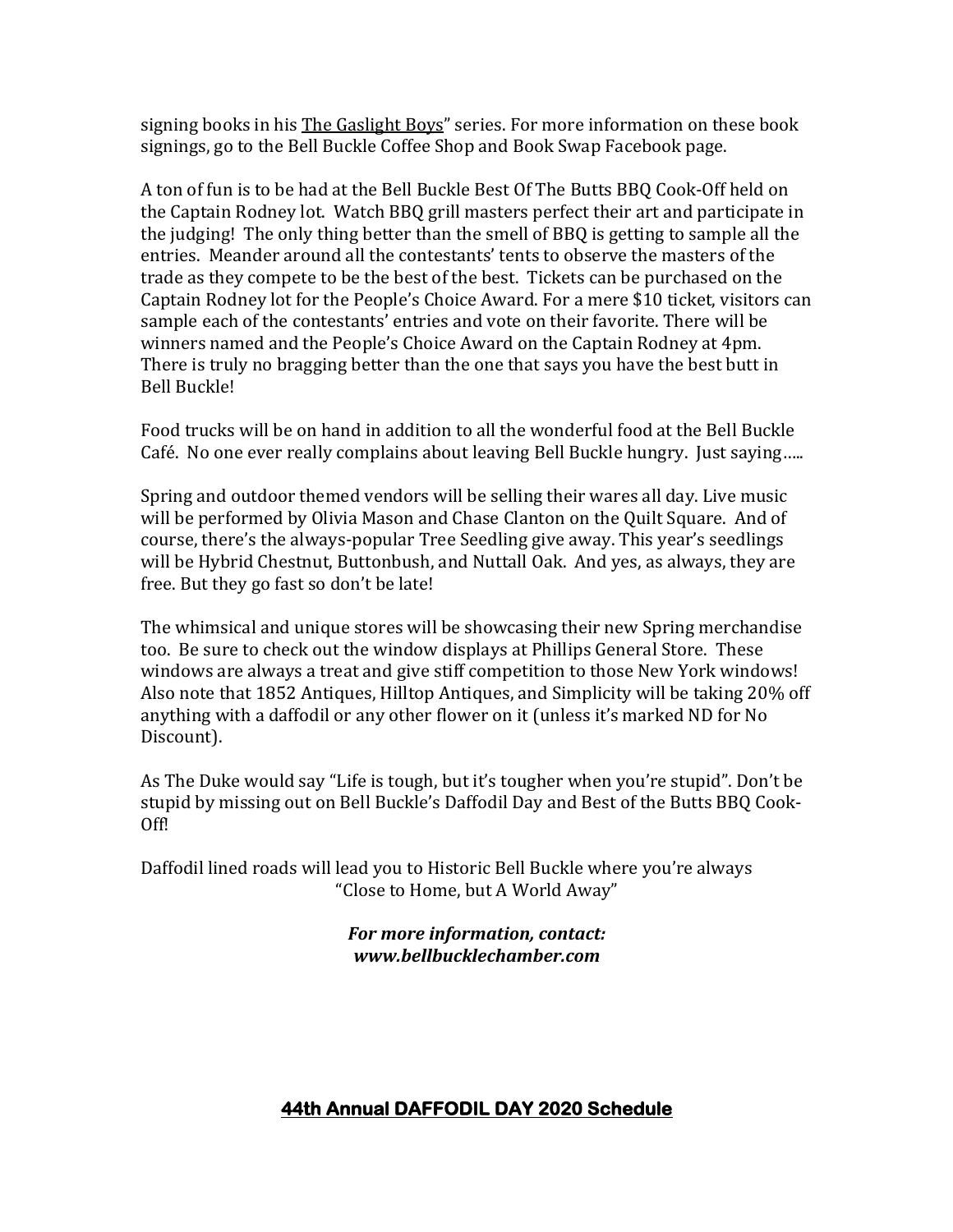signing books in his The Gaslight Boys" series. For more information on these book signings, go to the Bell Buckle Coffee Shop and Book Swap Facebook page.

A ton of fun is to be had at the Bell Buckle Best Of The Butts BBQ Cook-Off held on the Captain Rodney lot. Watch BBQ grill masters perfect their art and participate in the judging! The only thing better than the smell of BBQ is getting to sample all the entries. Meander around all the contestants' tents to observe the masters of the trade as they compete to be the best of the best. Tickets can be purchased on the Captain Rodney lot for the People's Choice Award. For a mere \$10 ticket, visitors can sample each of the contestants' entries and vote on their favorite. There will be winners named and the People's Choice Award on the Captain Rodney at 4pm. There is truly no bragging better than the one that says you have the best butt in Bell Buckle!

Food trucks will be on hand in addition to all the wonderful food at the Bell Buckle Café. No one ever really complains about leaving Bell Buckle hungry. Just saying.....

Spring and outdoor themed vendors will be selling their wares all day. Live music will be performed by Olivia Mason and Chase Clanton on the Quilt Square. And of course, there's the always-popular Tree Seedling give away. This year's seedlings will be Hybrid Chestnut, Buttonbush, and Nuttall Oak. And yes, as always, they are free. But they go fast so don't be late!

The whimsical and unique stores will be showcasing their new Spring merchandise too. Be sure to check out the window displays at Phillips General Store. These windows are always a treat and give stiff competition to those New York windows! Also note that 1852 Antiques, Hilltop Antiques, and Simplicity will be taking 20% off anything with a daffodil or any other flower on it (unless it's marked ND for No Discount). 

As The Duke would say "Life is tough, but it's tougher when you're stupid". Don't be stupid by missing out on Bell Buckle's Daffodil Day and Best of the Butts BBQ Cook-Off! 

Daffodil lined roads will lead you to Historic Bell Buckle where you're always "Close to Home, but A World Away"

> *For more information, contact: www.bellbucklechamber.com*

# **44th Annual DAFFODIL DAY 2020 Schedule**